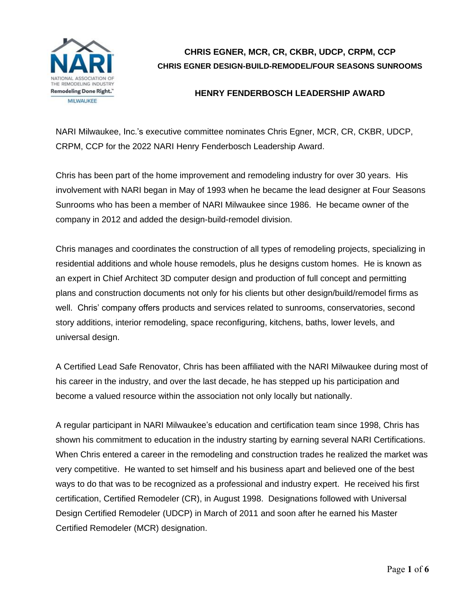

## **CHRIS EGNER, MCR, CR, CKBR, UDCP, CRPM, CCP CHRIS EGNER DESIGN-BUILD-REMODEL/FOUR SEASONS SUNROOMS**

## **HENRY FENDERBOSCH LEADERSHIP AWARD**

NARI Milwaukee, Inc.'s executive committee nominates Chris Egner, MCR, CR, CKBR, UDCP, CRPM, CCP for the 2022 NARI Henry Fenderbosch Leadership Award.

Chris has been part of the home improvement and remodeling industry for over 30 years. His involvement with NARI began in May of 1993 when he became the lead designer at Four Seasons Sunrooms who has been a member of NARI Milwaukee since 1986. He became owner of the company in 2012 and added the design-build-remodel division.

Chris manages and coordinates the construction of all types of remodeling projects, specializing in residential additions and whole house remodels, plus he designs custom homes. He is known as an expert in Chief Architect 3D computer design and production of full concept and permitting plans and construction documents not only for his clients but other design/build/remodel firms as well. Chris' company offers products and services related to sunrooms, conservatories, second story additions, interior remodeling, space reconfiguring, kitchens, baths, lower levels, and universal design.

A Certified Lead Safe Renovator, Chris has been affiliated with the NARI Milwaukee during most of his career in the industry, and over the last decade, he has stepped up his participation and become a valued resource within the association not only locally but nationally.

A regular participant in NARI Milwaukee's education and certification team since 1998, Chris has shown his commitment to education in the industry starting by earning several NARI Certifications. When Chris entered a career in the remodeling and construction trades he realized the market was very competitive. He wanted to set himself and his business apart and believed one of the best ways to do that was to be recognized as a professional and industry expert. He received his first certification, Certified Remodeler (CR), in August 1998. Designations followed with Universal Design Certified Remodeler (UDCP) in March of 2011 and soon after he earned his Master Certified Remodeler (MCR) designation.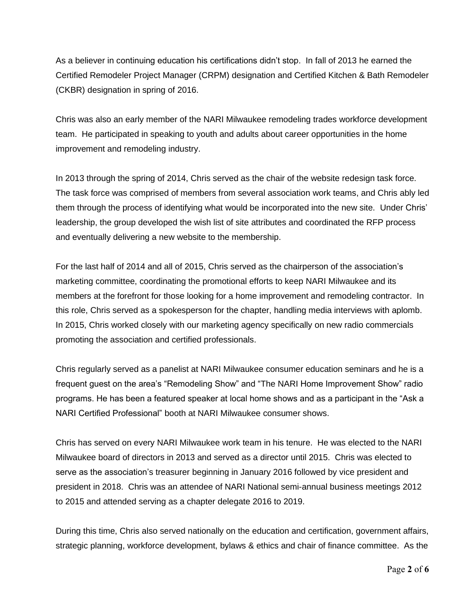As a believer in continuing education his certifications didn't stop. In fall of 2013 he earned the Certified Remodeler Project Manager (CRPM) designation and Certified Kitchen & Bath Remodeler (CKBR) designation in spring of 2016.

Chris was also an early member of the NARI Milwaukee remodeling trades workforce development team. He participated in speaking to youth and adults about career opportunities in the home improvement and remodeling industry.

In 2013 through the spring of 2014, Chris served as the chair of the website redesign task force. The task force was comprised of members from several association work teams, and Chris ably led them through the process of identifying what would be incorporated into the new site. Under Chris' leadership, the group developed the wish list of site attributes and coordinated the RFP process and eventually delivering a new website to the membership.

For the last half of 2014 and all of 2015, Chris served as the chairperson of the association's marketing committee, coordinating the promotional efforts to keep NARI Milwaukee and its members at the forefront for those looking for a home improvement and remodeling contractor. In this role, Chris served as a spokesperson for the chapter, handling media interviews with aplomb. In 2015, Chris worked closely with our marketing agency specifically on new radio commercials promoting the association and certified professionals.

Chris regularly served as a panelist at NARI Milwaukee consumer education seminars and he is a frequent guest on the area's "Remodeling Show" and "The NARI Home Improvement Show" radio programs. He has been a featured speaker at local home shows and as a participant in the "Ask a NARI Certified Professional" booth at NARI Milwaukee consumer shows.

Chris has served on every NARI Milwaukee work team in his tenure. He was elected to the NARI Milwaukee board of directors in 2013 and served as a director until 2015. Chris was elected to serve as the association's treasurer beginning in January 2016 followed by vice president and president in 2018. Chris was an attendee of NARI National semi-annual business meetings 2012 to 2015 and attended serving as a chapter delegate 2016 to 2019.

During this time, Chris also served nationally on the education and certification, government affairs, strategic planning, workforce development, bylaws & ethics and chair of finance committee. As the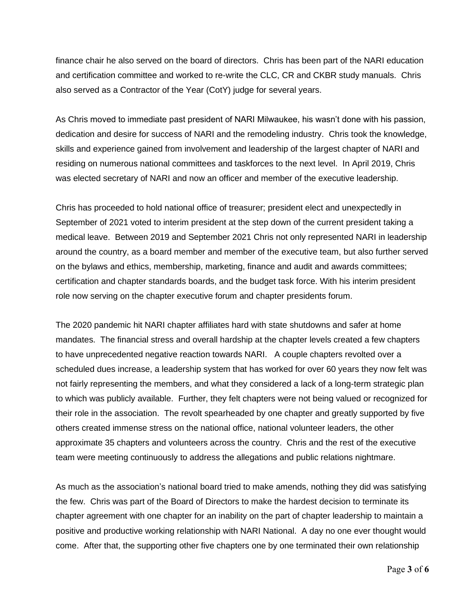finance chair he also served on the board of directors. Chris has been part of the NARI education and certification committee and worked to re-write the CLC, CR and CKBR study manuals. Chris also served as a Contractor of the Year (CotY) judge for several years.

As Chris moved to immediate past president of NARI Milwaukee, his wasn't done with his passion, dedication and desire for success of NARI and the remodeling industry. Chris took the knowledge, skills and experience gained from involvement and leadership of the largest chapter of NARI and residing on numerous national committees and taskforces to the next level. In April 2019, Chris was elected secretary of NARI and now an officer and member of the executive leadership.

Chris has proceeded to hold national office of treasurer; president elect and unexpectedly in September of 2021 voted to interim president at the step down of the current president taking a medical leave. Between 2019 and September 2021 Chris not only represented NARI in leadership around the country, as a board member and member of the executive team, but also further served on the bylaws and ethics, membership, marketing, finance and audit and awards committees; certification and chapter standards boards, and the budget task force. With his interim president role now serving on the chapter executive forum and chapter presidents forum.

The 2020 pandemic hit NARI chapter affiliates hard with state shutdowns and safer at home mandates. The financial stress and overall hardship at the chapter levels created a few chapters to have unprecedented negative reaction towards NARI. A couple chapters revolted over a scheduled dues increase, a leadership system that has worked for over 60 years they now felt was not fairly representing the members, and what they considered a lack of a long-term strategic plan to which was publicly available. Further, they felt chapters were not being valued or recognized for their role in the association. The revolt spearheaded by one chapter and greatly supported by five others created immense stress on the national office, national volunteer leaders, the other approximate 35 chapters and volunteers across the country. Chris and the rest of the executive team were meeting continuously to address the allegations and public relations nightmare.

As much as the association's national board tried to make amends, nothing they did was satisfying the few. Chris was part of the Board of Directors to make the hardest decision to terminate its chapter agreement with one chapter for an inability on the part of chapter leadership to maintain a positive and productive working relationship with NARI National. A day no one ever thought would come. After that, the supporting other five chapters one by one terminated their own relationship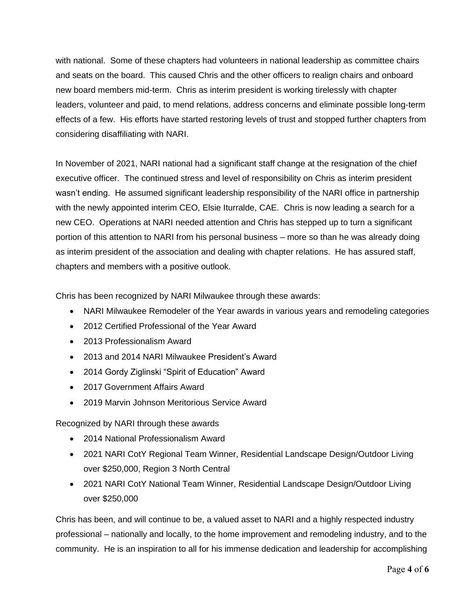with national. Some of these chapters had volunteers in national leadership as committee chairs and seats on the board. This caused Chris and the other officers to realign chairs and onboard new board members mid-term. Chris as interim president is working tirelessly with chapter leaders, volunteer and paid, to mend relations, address concerns and eliminate possible long-term effects of a few. His efforts have started restoring levels of trust and stopped further chapters from considering disaffiliating with NARI.

In November of 2021, NARI national had a significant staff change at the resignation of the chief executive officer. The continued stress and level of responsibility on Chris as interim president wasn't ending. He assumed significant leadership responsibility of the NARI office in partnership with the newly appointed interim CEO, Elsie Iturralde, CAE. Chris is now leading a search for a new CEO. Operations at NARI needed attention and Chris has stepped up to turn a significant portion of this attention to NARI from his personal business – more so than he was already doing as interim president of the association and dealing with chapter relations. He has assured staff, chapters and members with a positive outlook.

Chris has been recognized by NARI Milwaukee through these awards:

- NARI Milwaukee Remodeler of the Year awards in various years and remodeling categories
- 2012 Certified Professional of the Year Award
- 2013 Professionalism Award
- 2013 and 2014 NARI Milwaukee President's Award
- 2014 Gordy Ziglinski "Spirit of Education" Award
- 2017 Government Affairs Award
- 2019 Marvin Johnson Meritorious Service Award

Recognized by NARI through these awards

- 2014 National Professionalism Award
- 2021 NARI CotY Regional Team Winner, Residential Landscape Design/Outdoor Living over \$250,000, Region 3 North Central
- 2021 NARI CotY National Team Winner, Residential Landscape Design/Outdoor Living over \$250,000

Chris has been, and will continue to be, a valued asset to NARI and a highly respected industry professional – nationally and locally, to the home improvement and remodeling industry, and to the community. He is an inspiration to all for his immense dedication and leadership for accomplishing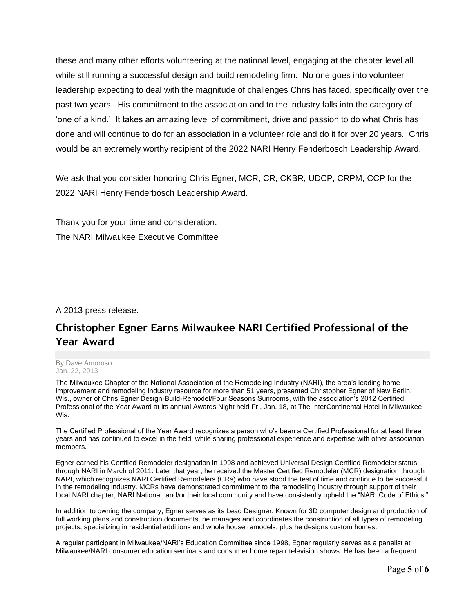these and many other efforts volunteering at the national level, engaging at the chapter level all while still running a successful design and build remodeling firm. No one goes into volunteer leadership expecting to deal with the magnitude of challenges Chris has faced, specifically over the past two years. His commitment to the association and to the industry falls into the category of 'one of a kind.' It takes an amazing level of commitment, drive and passion to do what Chris has done and will continue to do for an association in a volunteer role and do it for over 20 years. Chris would be an extremely worthy recipient of the 2022 NARI Henry Fenderbosch Leadership Award.

We ask that you consider honoring Chris Egner, MCR, CR, CKBR, UDCP, CRPM, CCP for the 2022 NARI Henry Fenderbosch Leadership Award.

Thank you for your time and consideration. The NARI Milwaukee Executive Committee

### A 2013 press release:

# **Christopher Egner Earns Milwaukee NARI Certified Professional of the Year Award**

#### By Dave Amoroso Jan. 22, 2013

The Milwaukee Chapter of the National Association of the Remodeling Industry (NARI), the area's leading home improvement and remodeling industry resource for more than 51 years, presented Christopher Egner of New Berlin, Wis., owner of Chris Egner Design-Build-Remodel/Four Seasons Sunrooms, with the association's 2012 Certified Professional of the Year Award at its annual Awards Night held Fr., Jan. 18, at The InterContinental Hotel in Milwaukee, Wis.

The Certified Professional of the Year Award recognizes a person who's been a Certified Professional for at least three years and has continued to excel in the field, while sharing professional experience and expertise with other association members.

Egner earned his Certified Remodeler designation in 1998 and achieved Universal Design Certified Remodeler status through NARI in March of 2011. Later that year, he received the Master Certified Remodeler (MCR) designation through NARI, which recognizes NARI Certified Remodelers (CRs) who have stood the test of time and continue to be successful in the remodeling industry. MCRs have demonstrated commitment to the remodeling industry through support of their local NARI chapter, NARI National, and/or their local community and have consistently upheld the "NARI Code of Ethics."

In addition to owning the company, Egner serves as its Lead Designer. Known for 3D computer design and production of full working plans and construction documents, he manages and coordinates the construction of all types of remodeling projects, specializing in residential additions and whole house remodels, plus he designs custom homes.

A regular participant in Milwaukee/NARI's Education Committee since 1998, Egner regularly serves as a panelist at Milwaukee/NARI consumer education seminars and consumer home repair television shows. He has been a frequent